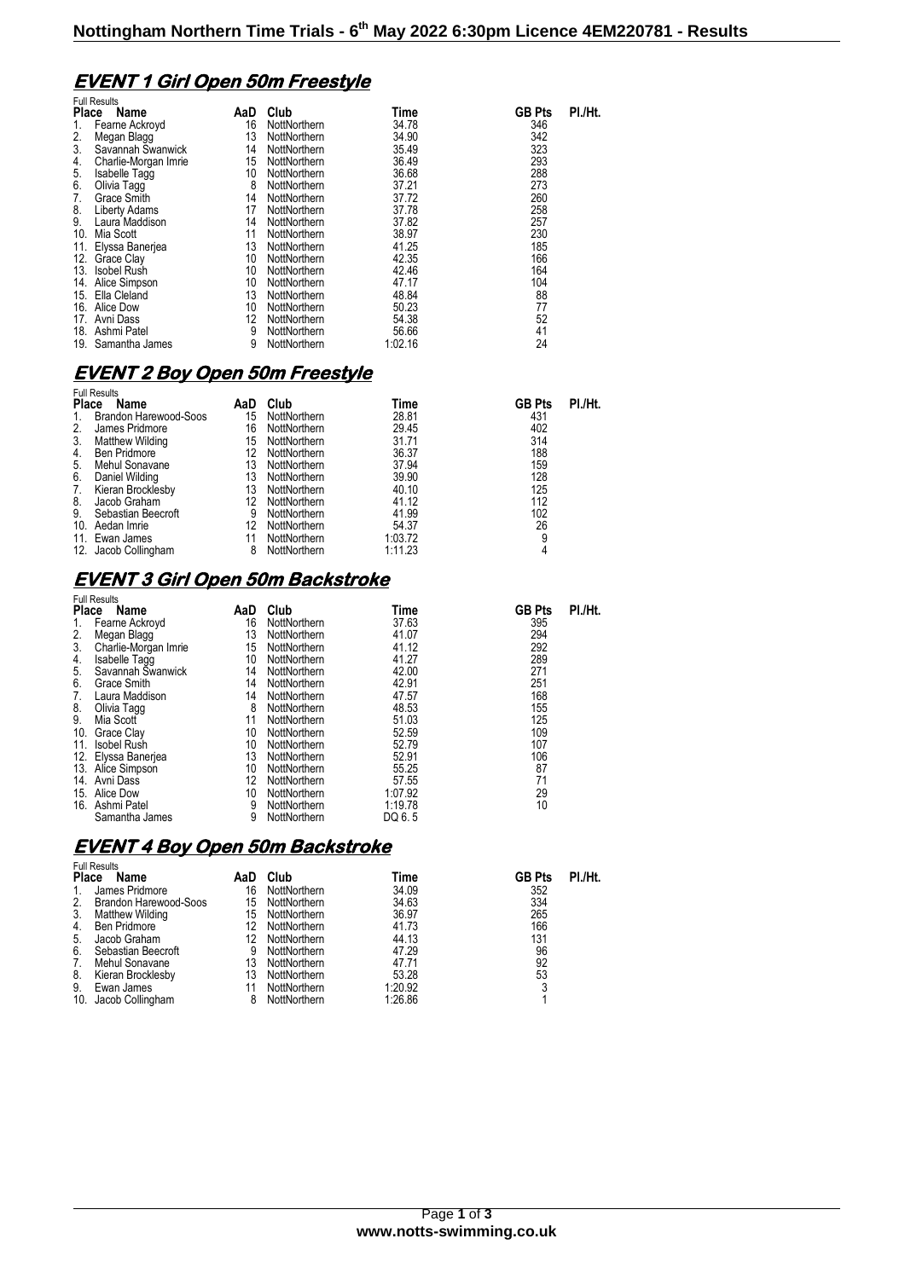## **EVENT 1 Girl Open 50m Freestyle**

|              | <b>Full Results</b>  |     |              |         |               |         |
|--------------|----------------------|-----|--------------|---------|---------------|---------|
| <b>Place</b> | Name                 | AaD | Club         | Time    | <b>GB Pts</b> | PI./Ht. |
|              | Fearne Ackroyd       | 16  | NottNorthern | 34.78   | 346           |         |
| 2.           | Megan Blagg          | 13  | NottNorthern | 34.90   | 342           |         |
| 3.           | Savannah Swanwick    | 14  | NottNorthern | 35.49   | 323           |         |
| 4.           | Charlie-Morgan Imrie | 15  | NottNorthern | 36.49   | 293           |         |
| 5.           | Isabelle Tagg        | 10  | NottNorthern | 36.68   | 288           |         |
| 6.           | Olivia Tagg          | 8   | NottNorthern | 37.21   | 273           |         |
| 7.           | Grace Smith          | 14  | NottNorthern | 37.72   | 260           |         |
| 8.           | Liberty Adams        | 17  | NottNorthern | 37.78   | 258           |         |
| 9.           | Laura Maddison       | 14  | NottNorthern | 37.82   | 257           |         |
| 10.          | Mia Scott            | 11  | NottNorthern | 38.97   | 230           |         |
| 11.          | Elyssa Banerjea      | 13  | NottNorthern | 41.25   | 185           |         |
|              | 12. Grace Clay       | 10  | NottNorthern | 42.35   | 166           |         |
| 13.          | Isobel Rush          | 10  | NottNorthern | 42.46   | 164           |         |
| 14.          | Alice Simpson        | 10  | NottNorthern | 47.17   | 104           |         |
|              | 15. Ella Cleland     | 13  | NottNorthern | 48.84   | 88            |         |
| 16.          | Alice Dow            | 10  | NottNorthern | 50.23   | 77            |         |
| 17.          | Avni Dass            | 12  | NottNorthern | 54.38   | 52            |         |
| 18.          | Ashmi Patel          | 9   | NottNorthern | 56.66   | 41            |         |
| 19.          | Samantha James       | 9   | NottNorthern | 1:02.16 | 24            |         |

#### **EVENT 2 Boy Open 50m Freestyle**

|              | <b>Full Results</b>    |     |              |         |               |         |
|--------------|------------------------|-----|--------------|---------|---------------|---------|
| <b>Place</b> | Name                   | AaD | Club         | Time    | <b>GB Pts</b> | PI./Ht. |
| 1.           | Brandon Harewood-Soos  | 15  | NottNorthern | 28.81   | 431           |         |
| 2.           | James Pridmore         | 16  | NottNorthern | 29.45   | 402           |         |
| 3.           | <b>Matthew Wilding</b> | 15  | NottNorthern | 31.71   | 314           |         |
| 4.           | <b>Ben Pridmore</b>    | 12  | NottNorthern | 36.37   | 188           |         |
| 5.           | Mehul Sonavane         | 13  | NottNorthern | 37.94   | 159           |         |
| 6.           | Daniel Wilding         | 13  | NottNorthern | 39.90   | 128           |         |
| 7.           | Kieran Brocklesby      | 13  | NottNorthern | 40.10   | 125           |         |
| 8.           | Jacob Graham           | 12  | NottNorthern | 41.12   | 112           |         |
| 9.           | Sebastian Beecroft     | 9   | NottNorthern | 41.99   | 102           |         |
| 10.          | Aedan Imrie            | 12  | NottNorthern | 54.37   | 26            |         |
|              | 11. Ewan James         | 11  | NottNorthern | 1:03.72 | 9             |         |
|              | 12. Jacob Collingham   | 8   | NottNorthern | 1:11.23 |               |         |

## **EVENT 3 Girl Open 50m Backstroke**

| Name                     | AaD                                                                                                                                              | Club         |         |      | PI./Ht.       |
|--------------------------|--------------------------------------------------------------------------------------------------------------------------------------------------|--------------|---------|------|---------------|
| Fearne Ackroyd           | 16                                                                                                                                               | NottNorthern | 37.63   | 395  |               |
| Megan Blagg              | 13                                                                                                                                               | NottNorthern | 41.07   | 294  |               |
|                          | 15                                                                                                                                               | NottNorthern | 41.12   | 292  |               |
|                          | 10                                                                                                                                               | NottNorthern | 41.27   | 289  |               |
| Savannah Swanwick        | 14                                                                                                                                               | NottNorthern | 42.00   | 271  |               |
| Grace Smith              | 14                                                                                                                                               | NottNorthern | 42.91   | 251  |               |
| Laura Maddison           | 14                                                                                                                                               | NottNorthern | 47.57   | 168  |               |
| Olivia Tagg              | 8                                                                                                                                                | NottNorthern | 48.53   | 155  |               |
| Mia Scott                | 11                                                                                                                                               | NottNorthern | 51.03   | 125  |               |
| Grace Clay               | 10                                                                                                                                               | NottNorthern | 52.59   | 109  |               |
| <b>Isobel Rush</b>       | 10                                                                                                                                               | NottNorthern | 52.79   | 107  |               |
|                          | 13                                                                                                                                               | NottNorthern | 52.91   | 106  |               |
|                          | 10                                                                                                                                               | NottNorthern | 55.25   | 87   |               |
|                          | 12                                                                                                                                               | NottNorthern | 57.55   | 71   |               |
| Alice Dow                | 10                                                                                                                                               | NottNorthern | 1:07.92 | 29   |               |
| Ashmi Patel              | 9                                                                                                                                                | NottNorthern | 1:19.78 | 10   |               |
| Samantha James           | 9                                                                                                                                                | NottNorthern | DQ 6.5  |      |               |
| 10.<br>11.<br>15.<br>16. | <b>Full Results</b><br><b>Place</b><br>Charlie-Morgan Imrie<br><b>Isabelle Tagg</b><br>12. Elyssa Banerjea<br>13. Alice Simpson<br>14. Avni Dass |              |         | Time | <b>GB Pts</b> |

# **EVENT 4 Boy Open 50m Backstroke**

|              | <b>Full Results</b>          |     |              |         |               |         |
|--------------|------------------------------|-----|--------------|---------|---------------|---------|
| <b>Place</b> | Name                         | AaD | Club         | Time    | <b>GB Pts</b> | PI./Ht. |
|              | James Pridmore               | 16  | NottNorthern | 34.09   | 352           |         |
| 2.           | <b>Brandon Harewood-Soos</b> | 15  | NottNorthern | 34.63   | 334           |         |
| 3.           | <b>Matthew Wilding</b>       | 15  | NottNorthern | 36.97   | 265           |         |
| 4.           | <b>Ben Pridmore</b>          | 12  | NottNorthern | 41.73   | 166           |         |
| 5.           | Jacob Graham                 | 12  | NottNorthern | 44.13   | 131           |         |
| 6.           | Sebastian Beecroft           | 9   | NottNorthern | 47.29   | 96            |         |
| 7.           | Mehul Sonavane               | 13  | NottNorthern | 47.71   | 92            |         |
| 8.           | Kieran Brocklesby            | 13  | NottNorthern | 53.28   | 53            |         |
| 9.           | Ewan James                   |     | NottNorthern | 1:20.92 |               |         |
| 10.          | Jacob Collingham             |     | NottNorthern | 1:26.86 |               |         |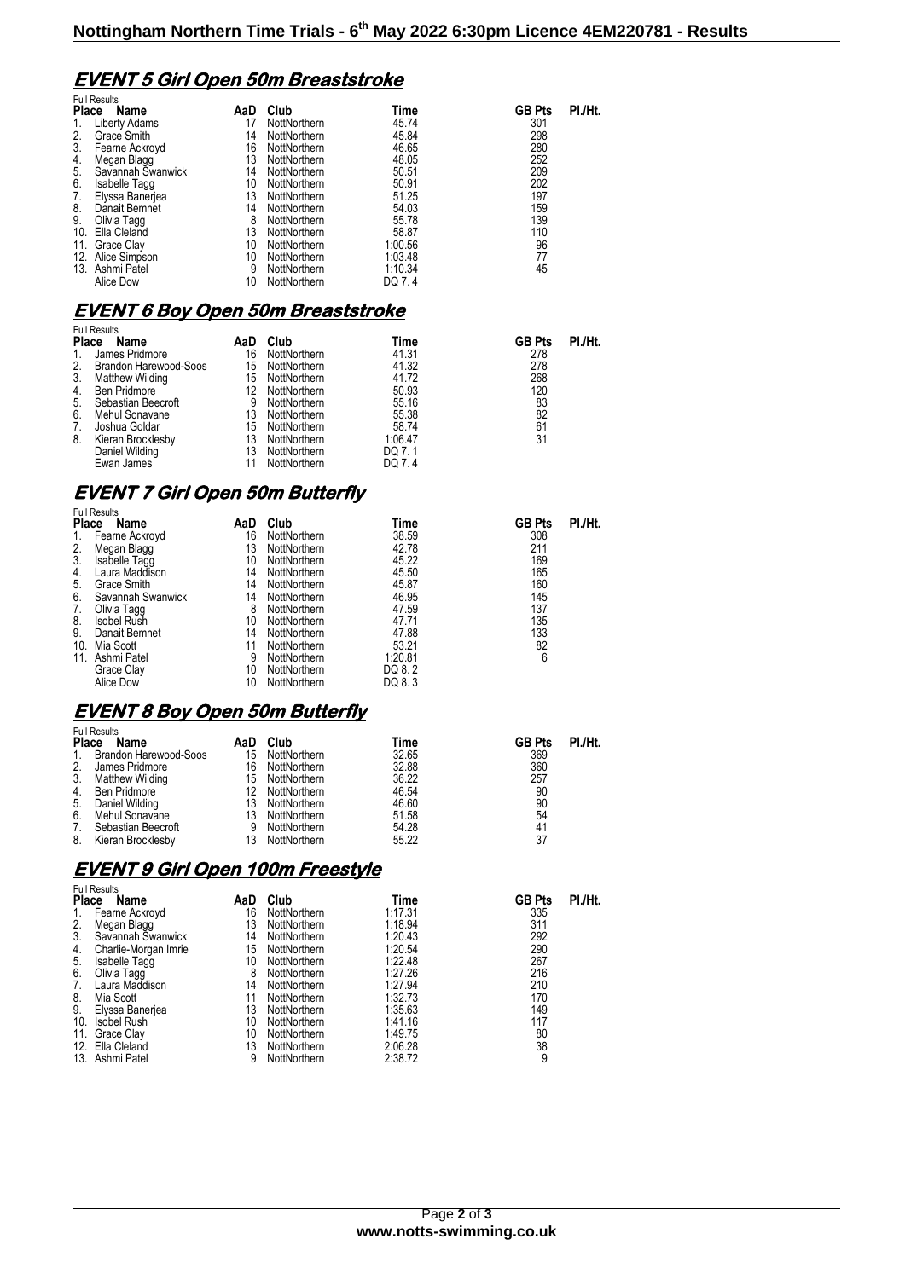## **EVENT 5 Girl Open 50m Breaststroke**

| Name              | AaD                                                                                   | Club         | Time    | <b>GB Pts</b> | PI./Ht. |
|-------------------|---------------------------------------------------------------------------------------|--------------|---------|---------------|---------|
| Liberty Adams     | 17                                                                                    | NottNorthern | 45.74   | 301           |         |
| Grace Smith       | 14                                                                                    | NottNorthern | 45.84   | 298           |         |
| Fearne Ackroyd    | 16                                                                                    | NottNorthern | 46.65   | 280           |         |
| Megan Blagg       | 13                                                                                    | NottNorthern | 48.05   | 252           |         |
| Savannah Swanwick | 14                                                                                    | NottNorthern | 50.51   | 209           |         |
|                   | 10                                                                                    | NottNorthern | 50.91   | 202           |         |
| Elyssa Banerjea   | 13                                                                                    | NottNorthern | 51.25   | 197           |         |
| Danait Bemnet     | 14                                                                                    | NottNorthern | 54.03   | 159           |         |
| Olivia Tagg       | 8                                                                                     | NottNorthern | 55.78   | 139           |         |
| Ella Cleland      | 13                                                                                    | NottNorthern | 58.87   | 110           |         |
| Grace Clay        | 10                                                                                    | NottNorthern | 1:00.56 | 96            |         |
| Alice Simpson     | 10                                                                                    | NottNorthern | 1:03.48 | 77            |         |
|                   | 9                                                                                     | NottNorthern | 1:10.34 | 45            |         |
| Alice Dow         | 10                                                                                    | NottNorthern | DQ 7.4  |               |         |
|                   | <b>Full Results</b><br><b>Place</b><br>Isabelle Tagg<br>11.<br>12.<br>13. Ashmi Patel |              |         |               |         |

## **EVENT 6 Boy Open 50m Breaststroke**

|    | <b>Full Results</b>    |     |              |         |               |         |
|----|------------------------|-----|--------------|---------|---------------|---------|
|    | <b>Place</b><br>Name   | AaD | Club         | Time    | <b>GB Pts</b> | PI./Ht. |
| 1. | James Pridmore         | 16  | NottNorthern | 41.31   | 278           |         |
| 2. | Brandon Harewood-Soos  | 15  | NottNorthern | 41.32   | 278           |         |
| 3. | <b>Matthew Wilding</b> | 15  | NottNorthern | 41.72   | 268           |         |
| 4. | <b>Ben Pridmore</b>    | 12  | NottNorthern | 50.93   | 120           |         |
| 5. | Sebastian Beecroft     | 9   | NottNorthern | 55.16   | 83            |         |
| 6. | Mehul Sonavane         | 13  | NottNorthern | 55.38   | 82            |         |
| 7. | Joshua Goldar          | 15  | NottNorthern | 58.74   | 61            |         |
| 8. | Kieran Brocklesby      | 13  | NottNorthern | 1:06.47 | 31            |         |
|    | Daniel Wilding         | 13  | NottNorthern | DQ 7.1  |               |         |
|    | Ewan James             |     | NottNorthern | DQ 7.4  |               |         |

### **EVENT 7 Girl Open 50m Butterfly**

| <b>Place</b><br>Name | AaD                 | Club         | Time    | <b>GB Pts</b> | PI./Ht. |
|----------------------|---------------------|--------------|---------|---------------|---------|
| Fearne Ackroyd       | 16                  | NottNorthern | 38.59   | 308           |         |
| Megan Blagg          | 13                  | NottNorthern | 42.78   | 211           |         |
| <b>Isabelle Tagg</b> | 10                  | NottNorthern | 45.22   | 169           |         |
| Laura Maddison       | 14                  | NottNorthern | 45.50   | 165           |         |
| Grace Smith          | 14                  | NottNorthern | 45.87   | 160           |         |
| Savannah Swanwick    | 14                  | NottNorthern | 46.95   | 145           |         |
| Olivia Tagg          | 8                   | NottNorthern | 47.59   | 137           |         |
| Isobel Rush          | 10                  | NottNorthern | 47.71   | 135           |         |
| Danait Bemnet        | 14                  | NottNorthern | 47.88   | 133           |         |
| Mia Scott            | 11                  | NottNorthern | 53.21   | 82            |         |
| Ashmi Patel          | 9                   | NottNorthern | 1:20.81 | 6             |         |
| Grace Clay           | 10                  | NottNorthern | DQ 8.2  |               |         |
| Alice Dow            | 10                  | NottNorthern | DQ 8.3  |               |         |
|                      | <b>Full Results</b> |              |         |               |         |

## **EVENT 8 Boy Open 50m Butterfly**

|              | <b>Full Results</b>   |     |              |       |               |         |
|--------------|-----------------------|-----|--------------|-------|---------------|---------|
| <b>Place</b> | Name                  | AaD | Club         | Time  | <b>GB Pts</b> | PI./Ht. |
| 1.           | Brandon Harewood-Soos | 15  | NottNorthern | 32.65 | 369           |         |
| 2.           | James Pridmore        | 16  | NottNorthern | 32.88 | 360           |         |
| 3.           | Matthew Wilding       | 15  | NottNorthern | 36.22 | 257           |         |
| 4.           | <b>Ben Pridmore</b>   | 12  | NottNorthern | 46.54 | 90            |         |
| 5.           | Daniel Wilding        | 13  | NottNorthern | 46.60 | 90            |         |
| 6.           | Mehul Sonavane        | 13  | NottNorthern | 51.58 | 54            |         |
| 7.           | Sebastian Beecroft    | 9   | NottNorthern | 54.28 | 41            |         |
| 8.           | Kieran Brocklesby     | 13  | NottNorthern | 55.22 | 37            |         |

#### **EVENT 9 Girl Open 100m Freestyle**  Full Results

|     | Full Results         |     |              |         |               |         |
|-----|----------------------|-----|--------------|---------|---------------|---------|
|     | Place<br>Name        | AaD | Club         | Time    | <b>GB Pts</b> | PI./Ht. |
| 1.  | Fearne Ackroyd       | 16  | NottNorthern | 1:17.31 | 335           |         |
| 2.  | Megan Blagg          | 13  | NottNorthern | 1:18.94 | 311           |         |
| 3.  | Savannah Swanwick    | 14  | NottNorthern | 1:20.43 | 292           |         |
| 4.  | Charlie-Morgan Imrie | 15  | NottNorthern | 1:20.54 | 290           |         |
| 5.  | Isabelle Tagg        | 10  | NottNorthern | 1:22.48 | 267           |         |
| 6.  | Olivia Tagg          | 8   | NottNorthern | 1:27.26 | 216           |         |
| 7.  | Laura Maddison       | 14  | NottNorthern | 1:27.94 | 210           |         |
| 8.  | Mia Scott            | 11  | NottNorthern | 1:32.73 | 170           |         |
| 9.  | Elyssa Banerjea      | 13  | NottNorthern | 1:35.63 | 149           |         |
| 10. | <b>Isobel Rush</b>   | 10  | NottNorthern | 1:41.16 | 117           |         |
| 11. | Grace Clay           | 10  | NottNorthern | 1:49.75 | 80            |         |
|     | 12. Ella Cleland     | 13  | NottNorthern | 2:06.28 | 38            |         |
|     | 13. Ashmi Patel      | 9   | NottNorthern | 2:38.72 | 9             |         |
|     |                      |     |              |         |               |         |